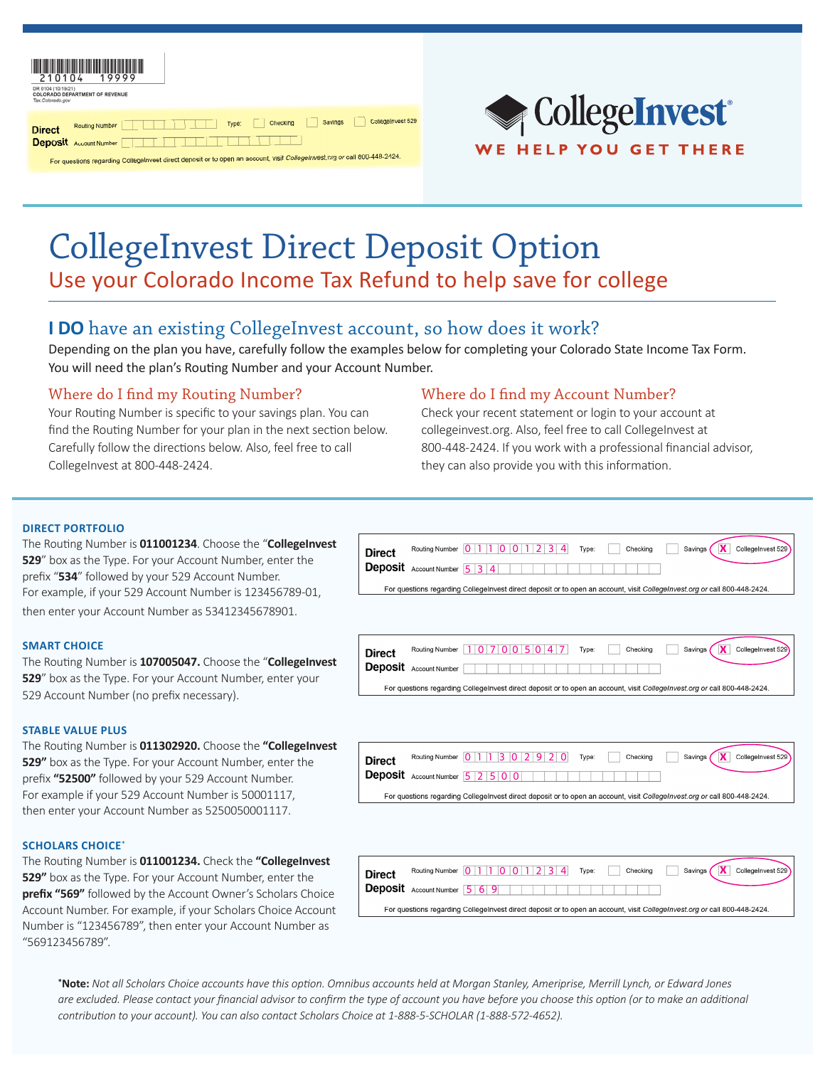| <u>.</u><br>DR 0104 (10/19/21)<br>Tax.Colorado.gov | <b>COLORADO DEPARTMENT OF REVENUE</b> | . <i>.</i> |       |          |         |                   |
|----------------------------------------------------|---------------------------------------|------------|-------|----------|---------|-------------------|
| <b>Direct</b>                                      | <b>Routing Number</b>                 |            | Type: | Checking | Savings | CollegeInvest 529 |
|                                                    | <b>Deposit</b> Account Number         |            |       |          |         |                   |

For questions regarding CollegeInvest direct deposit or to open an account, visit CollegeInvest.org



# CollegeInvest Direct Deposit Option Use your Colorado Income Tax Refund to help save for college

### **I DO** have an existing CollegeInvest account, so how does it work?

Depending on the plan you have, carefully follow the examples below for completing your Colorado State Income Tax Form. You will need the plan's Routing Number and your Account Number.

### Where do I find my Routing Number?

Your Routing Number is specific to your savings plan. You can find the Routing Number for your plan in the next section below. Carefully follow the directions below. Also, feel free to call CollegeInvest at 800-448-2424.

### Where do I find my Account Number?

Check your recent statement or login to your account at collegeinvest.org. Also, feel free to call CollegeInvest at 800-448-2424. If you work with a professional financial advisor, they can also provide you with this information.

#### **DIRECT PORTFOLIO**

The Routing Number is **011001234**. Choose the "**CollegeInvest 529**" box as the Type. For your Account Number, enter the prefix "**534**" followed by your 529 Account Number. For example, if your 529 Account Number is 123456789-01, then enter your Account Number as 53412345678901.

#### **SMART CHOICE**

The Routing Number is **107005047.** Choose the "**CollegeInvest 529**" box as the Type. For your Account Number, enter your 529 Account Number (no prefix necessary).

#### **STABLE VALUE PLUS**

The Routing Number is **011302920.** Choose the **"CollegeInvest 529"** box as the Type. For your Account Number, enter the prefix **"52500"** followed by your 529 Account Number. For example if your 529 Account Number is 50001117, then enter your Account Number as 5250050001117.

#### **SCHOLARS CHOICE**\*

The Routing Number is **011001234.** Check the **"CollegeInvest 529"** box as the Type. For your Account Number, enter the **prefix "569"** followed by the Account Owner's Scholars Choice Account Number. For example, if your Scholars Choice Account Number is "123456789", then enter your Account Number as "569123456789".

**\*Note:** *Not all Scholars Choice accounts have this option. Omnibus accounts held at Morgan Stanley, Ameriprise, Merrill Lynch, or Edward Jones are excluded. Please contact your financial advisor to confirm the type of account you have before you choose this option (or to make an additional contribution to your account). You can also contact Scholars Choice at 1-888-5-SCHOLAR (1-888-572-4652).*